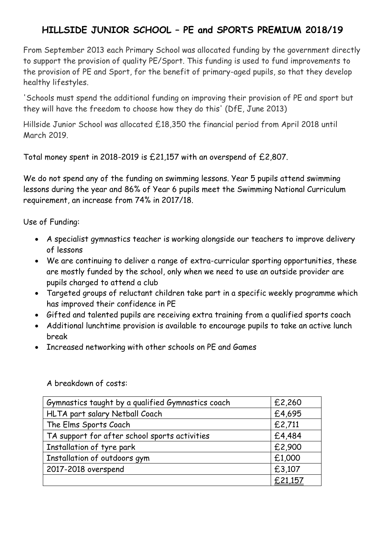## **HILLSIDE JUNIOR SCHOOL – PE and SPORTS PREMIUM 2018/19**

From September 2013 each Primary School was allocated funding by the government directly to support the provision of quality PE/Sport. This funding is used to fund improvements to the provision of PE and Sport, for the benefit of primary-aged pupils, so that they develop healthy lifestyles.

'Schools must spend the additional funding on improving their provision of PE and sport but they will have the freedom to choose how they do this' (DfE, June 2013)

Hillside Junior School was allocated £18,350 the financial period from April 2018 until March 2019.

Total money spent in 2018-2019 is £21,157 with an overspend of £2,807.

We do not spend any of the funding on swimming lessons. Year 5 pupils attend swimming lessons during the year and 86% of Year 6 pupils meet the Swimming National Curriculum requirement, an increase from 74% in 2017/18.

Use of Funding:

- A specialist gymnastics teacher is working alongside our teachers to improve delivery of lessons
- We are continuing to deliver a range of extra-curricular sporting opportunities, these are mostly funded by the school, only when we need to use an outside provider are pupils charged to attend a club
- Targeted groups of reluctant children take part in a specific weekly programme which has improved their confidence in PE
- Gifted and talented pupils are receiving extra training from a qualified sports coach
- Additional lunchtime provision is available to encourage pupils to take an active lunch break
- Increased networking with other schools on PE and Games

| Gymnastics taught by a qualified Gymnastics coach | £2,260  |
|---------------------------------------------------|---------|
| HLTA part salary Netball Coach                    | £4,695  |
| The Elms Sports Coach                             | £2,711  |
| TA support for after school sports activities     | £4,484  |
| Installation of tyre park                         | £2,900  |
| Installation of outdoors gym                      | £1,000  |
| 2017-2018 overspend                               | £3,107  |
|                                                   | £21,157 |

A breakdown of costs: